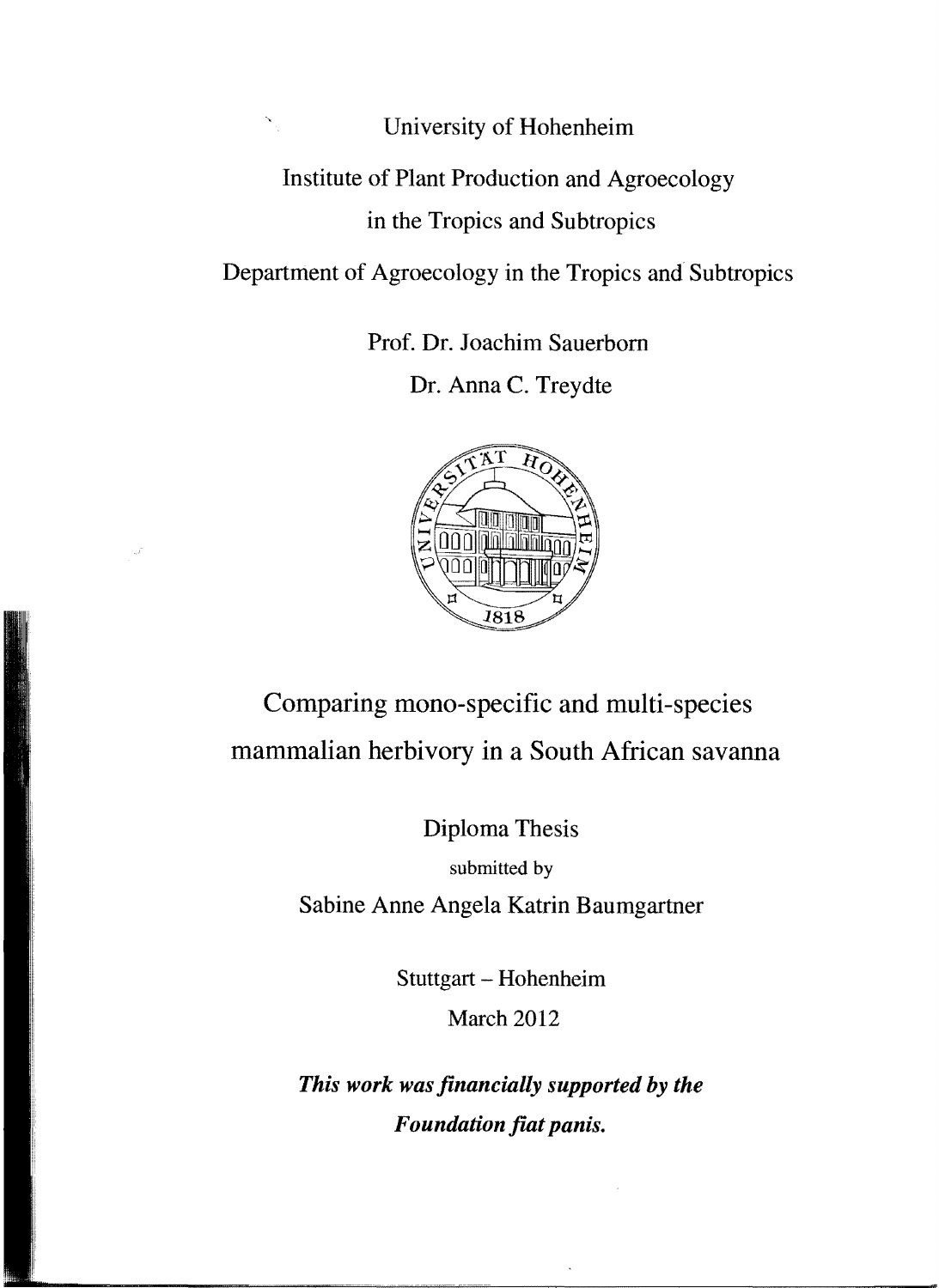## University of Hohenheim Institute of Plant Production and Agroecology in the Tropics and Subtropics

Department of Agroecology in the Tropics and Subtropics

Prof. Dr. Joachim Sauerborn

Dr. Anna C. Treydte



## Comparing mono-specific and multi-species mammalian herbivory in a South African savanna

Diploma Thesis

submitted by

Sabine Anne Angela Katrin Baumgartner

Stuttgart - Hohenheim

March 2012

*This work was jinancially supported by the Foundation fiat panis.*